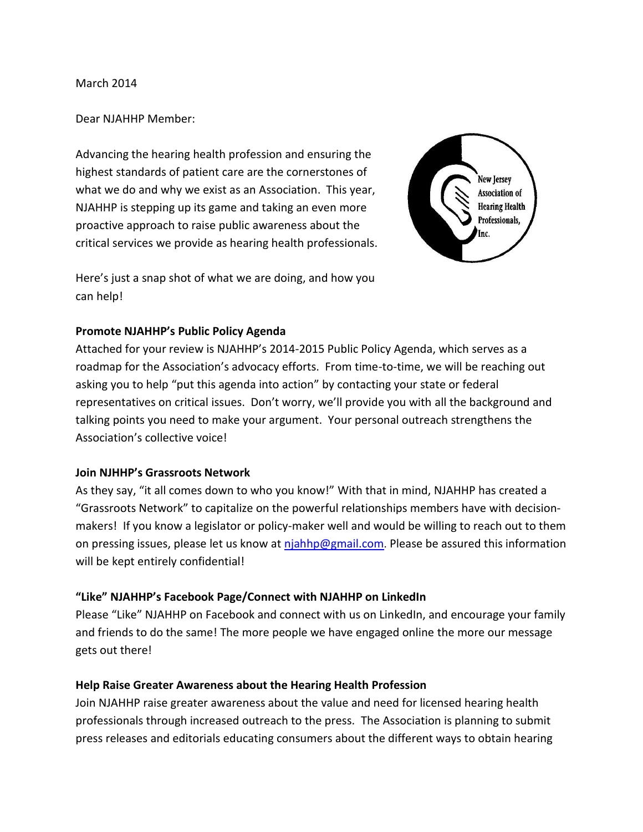March 2014

## Dear NJAHHP Member:

Advancing the hearing health profession and ensuring the highest standards of patient care are the cornerstones of what we do and why we exist as an Association. This year, NJAHHP is stepping up its game and taking an even more proactive approach to raise public awareness about the critical services we provide as hearing health professionals.



Here's just a snap shot of what we are doing, and how you can help!

# **Promote NJAHHP's Public Policy Agenda**

Attached for your review is NJAHHP's 2014-2015 Public Policy Agenda, which serves as a roadmap for the Association's advocacy efforts. From time-to-time, we will be reaching out asking you to help "put this agenda into action" by contacting your state or federal representatives on critical issues. Don't worry, we'll provide you with all the background and talking points you need to make your argument. Your personal outreach strengthens the Association's collective voice!

# **Join NJHHP's Grassroots Network**

As they say, "it all comes down to who you know!" With that in mind, NJAHHP has created a "Grassroots Network" to capitalize on the powerful relationships members have with decisionmakers! If you know a legislator or policy-maker well and would be willing to reach out to them on pressing issues, please let us know at [njahhp@gmail.com](mailto:njahhp@gmail.com). Please be assured this information will be kept entirely confidential!

# **"Like" NJAHHP's Facebook Page/Connect with NJAHHP on LinkedIn**

Please "Like" NJAHHP on Facebook and connect with us on LinkedIn, and encourage your family and friends to do the same! The more people we have engaged online the more our message gets out there!

# **Help Raise Greater Awareness about the Hearing Health Profession**

Join NJAHHP raise greater awareness about the value and need for licensed hearing health professionals through increased outreach to the press. The Association is planning to submit press releases and editorials educating consumers about the different ways to obtain hearing